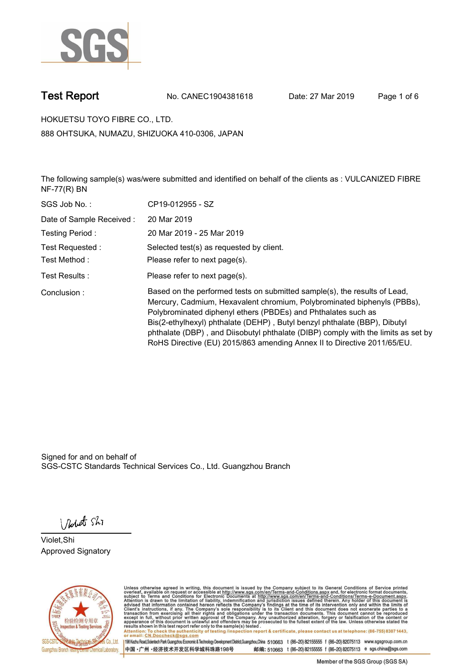

**Test Report. No. CANEC1904381618 Date: 27 Mar 2019. Page 1 of 6.**

**HOKUETSU TOYO FIBRE CO., LTD.. 888 OHTSUKA, NUMAZU, SHIZUOKA 410-0306, JAPAN**

**The following sample(s) was/were submitted and identified on behalf of the clients as : VULCANIZED FIBRE NF-77(R) BN.**

| SGS Job No.:             | CP19-012955 - SZ                                                                                                                                                                                                                                                                                                                                                                                                                                                   |
|--------------------------|--------------------------------------------------------------------------------------------------------------------------------------------------------------------------------------------------------------------------------------------------------------------------------------------------------------------------------------------------------------------------------------------------------------------------------------------------------------------|
| Date of Sample Received: | 20 Mar 2019                                                                                                                                                                                                                                                                                                                                                                                                                                                        |
| Testing Period:          | 20 Mar 2019 - 25 Mar 2019                                                                                                                                                                                                                                                                                                                                                                                                                                          |
| Test Requested :         | Selected test(s) as requested by client.                                                                                                                                                                                                                                                                                                                                                                                                                           |
| Test Method :            | Please refer to next page(s).                                                                                                                                                                                                                                                                                                                                                                                                                                      |
| Test Results :           | Please refer to next page(s).                                                                                                                                                                                                                                                                                                                                                                                                                                      |
| Conclusion:              | Based on the performed tests on submitted sample(s), the results of Lead,<br>Mercury, Cadmium, Hexavalent chromium, Polybrominated biphenyls (PBBs),<br>Polybrominated diphenyl ethers (PBDEs) and Phthalates such as<br>Bis(2-ethylhexyl) phthalate (DEHP), Butyl benzyl phthalate (BBP), Dibutyl<br>phthalate (DBP), and Diisobutyl phthalate (DIBP) comply with the limits as set by<br>RoHS Directive (EU) 2015/863 amending Annex II to Directive 2011/65/EU. |

Signed for and on behalf of SGS-CSTC Standards Technical Services Co., Ltd. Guangzhou Branch.

Nobet Shi

**Violet,Shi. Approved Signatory.**



Unless otherwise agreed in writing, this document is issued by the Company subject to its General Conditions of Service printed<br>overleaf, available on request or accessible at http://www.sgs.com/en/Terms-and-Conditions.asp Attention: To check the authenticity of testing /inspection report & certificate, please contact us at telephone: (86-755) 8307 1443,<br>Attention: To check the authenticity of testing /inspection report & certificate, please

198 Kezhu Road,Scientech Park Guangzhou Economic & Technology Development District,Guangzhou,China 510663 t (86-20) 82155555 f (86-20) 82075113 www.sgsgroup.com.cn 邮编: 510663 t (86-20) 82155555 f (86-20) 82075113 e sgs.china@sgs.com 中国·广州·经济技术开发区科学城科珠路198号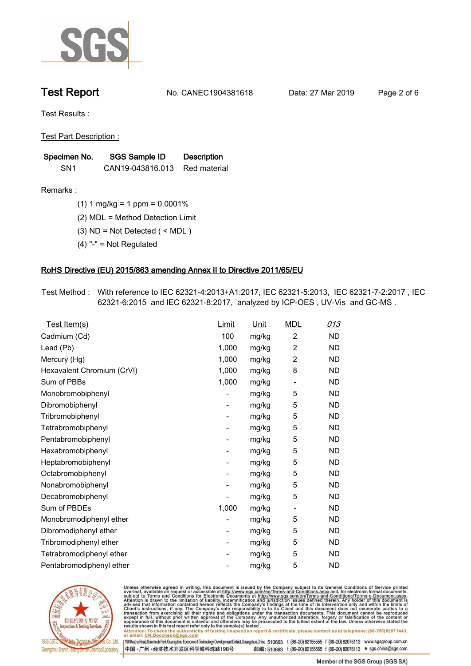

**Test Report. No. CANEC1904381618 Date: 27 Mar 2019. Page 2 of 6.**

**Test Results :.**

**Test Part Description :.**

| Specimen No.    | SGS Sample ID    | <b>Description</b> |  |
|-----------------|------------------|--------------------|--|
| SN <sub>1</sub> | CAN19-043816.013 | Red material       |  |

**Remarks :.(1) 1 mg/kg = 1 ppm = 0.0001%.**

**(2) MDL = Method Detection Limit.**

**(3) ND = Not Detected ( < MDL ).**

**(4) "-" = Not Regulated.**

### **RoHS Directive (EU) 2015/863 amending Annex II to Directive 2011/65/EU.**

**Test Method :. With reference to IEC 62321-4:2013+A1:2017, IEC 62321-5:2013, IEC 62321-7-2:2017 , IEC 62321-6:2015 and IEC 62321-8:2017, analyzed by ICP-OES , UV-Vis and GC-MS ..**

| Test Item(s)               | Limit                    | <u>Unit</u> | <b>MDL</b>               | 013       |
|----------------------------|--------------------------|-------------|--------------------------|-----------|
| Cadmium (Cd)               | 100                      | mg/kg       | 2                        | <b>ND</b> |
| Lead (Pb)                  | 1,000                    | mg/kg       | $\overline{c}$           | <b>ND</b> |
| Mercury (Hg)               | 1,000                    | mg/kg       | 2                        | <b>ND</b> |
| Hexavalent Chromium (CrVI) | 1,000                    | mg/kg       | 8                        | <b>ND</b> |
| Sum of PBBs                | 1,000                    | mg/kg       | $\overline{\phantom{a}}$ | <b>ND</b> |
| Monobromobiphenyl          |                          | mg/kg       | 5                        | <b>ND</b> |
| Dibromobiphenyl            | $\overline{\phantom{a}}$ | mg/kg       | 5                        | <b>ND</b> |
| Tribromobiphenyl           | $\overline{\phantom{a}}$ | mg/kg       | 5                        | <b>ND</b> |
| Tetrabromobiphenyl         |                          | mg/kg       | 5                        | <b>ND</b> |
| Pentabromobiphenyl         | $\overline{\phantom{a}}$ | mg/kg       | 5                        | <b>ND</b> |
| Hexabromobiphenyl          |                          | mg/kg       | 5                        | <b>ND</b> |
| Heptabromobiphenyl         | $\overline{\phantom{a}}$ | mg/kg       | 5                        | <b>ND</b> |
| Octabromobiphenyl          | -                        | mg/kg       | 5                        | <b>ND</b> |
| Nonabromobiphenyl          |                          | mg/kg       | 5                        | <b>ND</b> |
| Decabromobiphenyl          |                          | mg/kg       | 5                        | <b>ND</b> |
| Sum of PBDEs               | 1,000                    | mg/kg       | -                        | <b>ND</b> |
| Monobromodiphenyl ether    |                          | mg/kg       | 5                        | <b>ND</b> |
| Dibromodiphenyl ether      | -                        | mg/kg       | 5                        | <b>ND</b> |
| Tribromodiphenyl ether     | $\overline{\phantom{a}}$ | mg/kg       | 5                        | <b>ND</b> |
| Tetrabromodiphenyl ether   |                          | mg/kg       | 5                        | <b>ND</b> |
| Pentabromodiphenyl ether   |                          | mg/kg       | 5                        | <b>ND</b> |
|                            |                          |             |                          |           |



Unless otherwise agreed in writing, this document is issued by the Company subject to its General Conditions of Service printed<br>overleaf, available on request or accessible at http://www.sgs.com/en/Terms-and-Conditions.asp Attention: To check the authenticity of testing /inspection report & certificate, please contact us at telephone: (86-755) 8307 1443,<br>Attention: To check the authenticity of testing /inspection report & certificate, please

198 Kezhu Road,Scientech Park Guangzhou Economic & Technology Development District,Guangzhou,China 510663 t (86-20) 82155555 f (86-20) 82075113 www.sgsgroup.com.cn 邮编: 510663 t (86-20) 82155555 f (86-20) 82075113 e sgs.china@sgs.com 中国·广州·经济技术开发区科学城科珠路198号

Member of the SGS Group (SGS SA)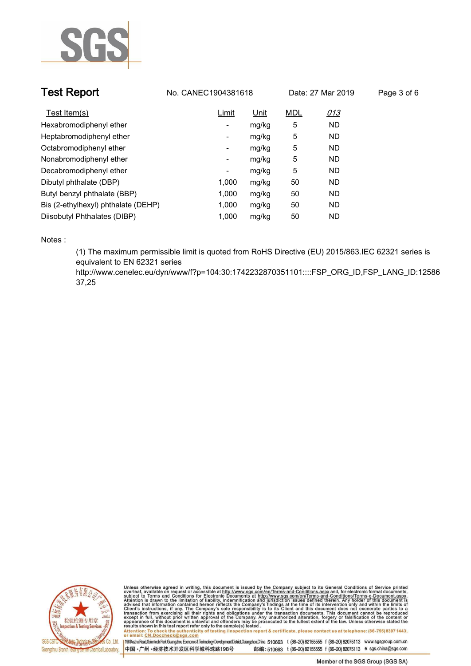

| <b>Test Report</b>                  | No. CANEC1904381618      |             |            | Date: 27 Mar 2019 | Page 3 of 6 |
|-------------------------------------|--------------------------|-------------|------------|-------------------|-------------|
| Test Item(s)                        | Limit                    | <u>Unit</u> | <b>MDL</b> | <u>013</u>        |             |
| Hexabromodiphenyl ether             | -                        | mg/kg       | 5          | ND.               |             |
| Heptabromodiphenyl ether            | -                        | mg/kg       | 5          | ND.               |             |
| Octabromodiphenyl ether             | ۰                        | mg/kg       | 5          | ND.               |             |
| Nonabromodiphenyl ether             | $\overline{\phantom{a}}$ | mg/kg       | 5          | ND.               |             |
| Decabromodiphenyl ether             | $\overline{\phantom{a}}$ | mg/kg       | 5          | ND.               |             |
| Dibutyl phthalate (DBP)             | 1.000                    | mg/kg       | 50         | ND.               |             |
| Butyl benzyl phthalate (BBP)        | 1.000                    | mg/kg       | 50         | ND                |             |
| Bis (2-ethylhexyl) phthalate (DEHP) | 1,000                    | mg/kg       | 50         | ND.               |             |
| Diisobutyl Phthalates (DIBP)        | 1.000                    | mg/kg       | 50         | <b>ND</b>         |             |

**Notes :.**

**(1) The maximum permissible limit is quoted from RoHS Directive (EU) 2015/863.IEC 62321 series is equivalent to EN 62321 series** 

**http://www.cenelec.eu/dyn/www/f?p=104:30:1742232870351101::::FSP\_ORG\_ID,FSP\_LANG\_ID:12586 37,25.**



Unless otherwise agreed in writing, this document is issued by the Company subject to its General Conditions of Service printed<br>overleaf, available on request or accessible at http://www.sgs.com/en/Terms-and-Conditions.asp Attention: To check the authenticity of testing /inspection report & certificate, please contact us at telephone: (86-755) 8307 1443,<br>Attention: To check the authenticity of testing /inspection report & certificate, please

198 Kezhu Road,Scientech Park Guangzhou Economic & Technology Development District,Guangzhou,China 510663 t (86-20) 82155555 f (86-20) 82075113 www.sgsgroup.com.cn 中国·广州·经济技术开发区科学城科珠路198号 邮编: 510663 t (86-20) 82155555 f (86-20) 82075113 e sgs.china@sgs.com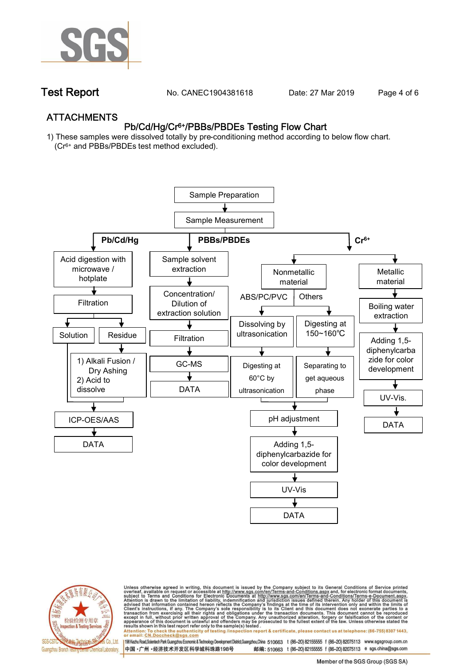

**Test Report. No. CANEC1904381618** Date: 27 Mar 2019 Page 4 of 6

## **ATTACHMENTS Pb/Cd/Hg/Cr6+/PBBs/PBDEs Testing Flow Chart**

**1) These samples were dissolved totally by pre-conditioning method according to below flow chart. (Cr6+ and PBBs/PBDEs test method excluded).**





Unless otherwise agreed in writing, this document is issued by the Company subject to its General Conditions of Service printed<br>overleaf, available on request or accessible at http://www.sgs.com/en/Terms-and-Conditions.asp

résults shown in this test report refer only to the sample(s) tésted .<br>Attention: To check the authenticity of testing /inspection report & certificate, please contact us at telephone: (86-755) 8307 1443,<br>or email: <u>CN.Doc</u>

198 Kezhu Road,Scientech Park Guangzhou Economic & Technology Development District,Guangzhou,China 510663 t (86-20) 82155555 f (86-20) 82075113 www.sgsgroup.com.cn 邮编: 510663 t (86-20) 82155555 f (86-20) 82075113 e sgs.china@sgs.com 中国·广州·经济技术开发区科学城科珠路198号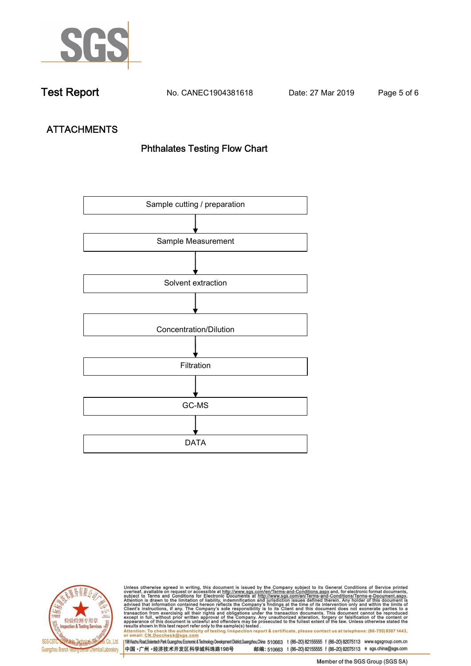

**Test Report. No. CANEC1904381618 Date: 27 Mar 2019. Page 5 of 6.**

# **ATTACHMENTS Phthalates Testing Flow Chart**





Unless otherwise agreed in writing, this document is issued by the Company subject to its General Conditions of Service printed<br>overleaf, available on request or accessible at http://www.sgs.com/en/Terms-and-Conditions.asp results shown in this test report refer only to the sample(s) tested .<br>Attention: To check the authenticity of testing /inspection report & certificate, please contact us at telephone: (86-755) 8307 1443,<br>or email: <u>CN.Doc</u>

198 Kezhu Road,Scientech Park Guangzhou Economic & Technology Development District,Guangzhou,China 510663 t (86-20) 82155555 f (86-20) 82075113 www.sgsgroup.com.cn 中国·广州·经济技术开发区科学城科珠路198号 邮编: 510663 t (86-20) 82155555 f (86-20) 82075113 e sgs.china@sgs.com